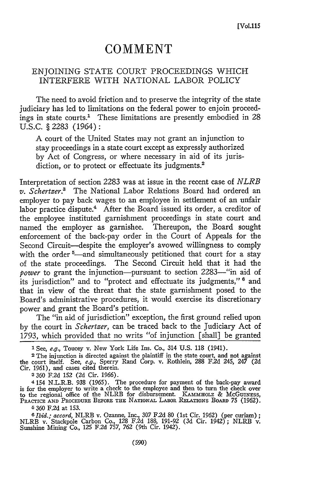## **COMMENT**

## ENJOINING STATE COURT PROCEEDINGS WHICH INTERFERE WITH NATIONAL LABOR POLICY

The need to avoid friction and to preserve the integrity of the state judiciary has led to limitations on the federal power to enjoin proceedings in state courts.' These limitations are presently embodied in 28 U.S.C. § 2283 (1964):

A court of the United States may not grant an injunction to stay proceedings in a state court except as expressly authorized by Act of Congress, or where necessary in aid of its jurisdiction, or to protect or effectuate its judgments.<sup>2</sup>

Interpretation of section 2283 was at issue in the recent case of *NLRB v. Schertzer.'* The National Labor Relations Board had ordered an employer to pay back wages to an employee in settlement of an unfair labor practice dispute.<sup>4</sup> After the Board issued its order, a creditor of the employee instituted garnishment proceedings in state court and named the employer as garnishee. Thereupon, the Board sought enforcement of the back-pay order in the Court of Appeals for the Second Circuit—despite the employer's avowed willingness to comply with the order <sup>5</sup>—and simultaneously petitioned that court for a stay of the state proceedings. The Second Circuit held that it had the *power* to grant the injunction-pursuant to section 2283-"in aid of its jurisdiction" and to "protect and effectuate its judgments," <sup>8</sup> and that in view of the threat that the state garnishment posed to the Board's administrative procedures, it would exercise its discretionary power and grant the Board's petition.

The "in aid of jurisdiction" exception, the first ground relied upon by the court in *Schertzer,* can be traced back to the Judiciary Act of 1793, which provided that no writs "of injunction [shall] be granted

2360 F.2d 152 (2d Cir. 1966).

4 154 N.L.R.B. 938 (1965). The procedure for payment of the back-pay award is for the employer to write a check to the employee and then to turn the check over to the regional office of the NLRB for disbursement. KAmmHOLZ & McGuiNESS, PRACTICE **AND** PROCEDURE BEFORE **THE** NATIONAL LABOR RELATIONS BOARD 75 (1962).

**6** 360 F.2d at 153.

*I Ibid.; accord,* NLRB v. Ozanne, Inc., 307 F.2d 80 (1st Cir. 1962) (per curiam); NLRB v. Stackpole Carbon Co., 128 F.2d 188, 191-92 (3d Cir. 1942); NLRB v. Sunshine Mining Co., **125** F.2d 757, *762* (9th Cir. 1942).

<sup>1</sup> See, e.g., Toucey v. New York Life Ins. Co., 314 U.S. 118 (1941).

**<sup>2</sup>** The injunction is directed against the plaintiff in the state court, and not against the court itself. See, *e.g.,* Sperry Rand Corp. v. Rothlein, 288 F.2d 245, 247 (2d Cir. 1961), and cases cited therein.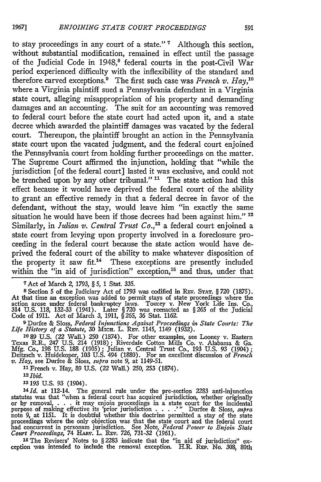to stay proceedings in any court of a state." **'** Although this section, without substantial modification, remained in effect until the passage of the Judicial Code in 1948,<sup>8</sup> federal courts in the post-Civil War period experienced difficulty with the inflexibility of the standard and therefore carved exceptions.<sup>9</sup> The first such case was *French v. Hay*,<sup>10</sup> where a Virginia plaintiff sued a Pennsylvania defendant in a Virginia state court, alleging misappropriation of his property and demanding damages and an accounting. The suit for an accounting was removed to federal court before the state court had acted upon it, and a state decree which awarded the plaintiff damages was vacated **by** the federal court. Thereupon, the plaintiff brought an action in the Pennsylvania state court upon the vacated judgment, and the federal court enjoined the Pennsylvania court from holding further proceedings on the matter. The Supreme Court affirmed the injunction, holding that "while the jurisdiction [of the federal court] lasted it was exclusive, and could not be trenched upon **by** any other tribunal." **"** The state action had this effect because it would have deprived the federal court of the ability to grant an effective remedy in that a federal decree in favor of the defendant, without the stay, would leave him "in exactly the same situation he would have been if those decrees had been against him." **<sup>12</sup>** Similarly, in *Julian v. Central Trust Co.,"3* a federal court enjoined a state court from levying upon property involved in a foreclosure proceeding in the federal court because the state action would have deprived the federal court of the ability to make whatever disposition of the property it saw fit.<sup>14</sup> These exceptions are presently included within the "in aid of jurisdiction" exception, $15$  and thus, under that

7Act of March 2, 1793, § *5,* 1 Stat. 335.

**8** Section 5 of the Judiciary Act of 1793 was codified in **REV. STAT.** § 720 (1875). At that time an exception was added to permit stays of state proceedings where the action arose under federal bankruptcy laws. Toucey v. New York Life Ins. Co., 314 U.S. 118, 132-33 (1941). Later *§720* was reenacted as §265 of the Judicial Code of 1911. Act of March *3, 1911,* § 265, 36 Stat. 1162.

<sup>9</sup> Durfee & Sloss, *Federal Injunctions Against Proceedings in State Courts: The Life History of a Statute, 30 MICH. L. REV. 1145, 1149 (1932).<br>10 89 U.S. (22 Wall.) 250 (1874). For other examples, see Looney v. Eastern* 

Texas R.R., 247 U.S. 214 (1918); Riverdale Cotton Mills Co. v. Alabama & Ga. Mfg. Co., 198 U.S. 188 (1905) ; Julian v. Central Trust Co., 193 U.S. 93 (1904) **;** Deitzsch v. Huidekoper, 103 U.S. 494 (1880). For an excellent discussion of *French v. Hay,* see Durfee & Sloss, *supra* note 9, at 1149-51.

**<sup>11</sup>**French v. Hay, 89 U.S. (22 Wall.) 250, 253 (1874). *2 Ibid.*

**13193** U.S. 93 (1904).

 $14$   $Id.$  at 112-14. The general rule under the pre-section 2283 anti-injunction statutes was that "when a federal court has acquired jurisdiction, whether originally or by removal, . **.** . it may enjoin proceedings in a state court for the incidental purpose of making effective its 'prior jurisdiction  $\ldots$ ..." Durfee & Sloss, supra note 9, at 1151. It is doubtful whether this doctrine permitted a stay of the state proceedings where the only objection was that the sta *Court Proceedings,* 74 HARv. L. Rxv. *726,* 731-32 (1961).

<sup>15</sup>The Revisers' Notes to § 2283 indicate that the "in aid of jurisdiction" ex- ception was intended to include the removal exception. H.R. **REP.** No. 308, 80th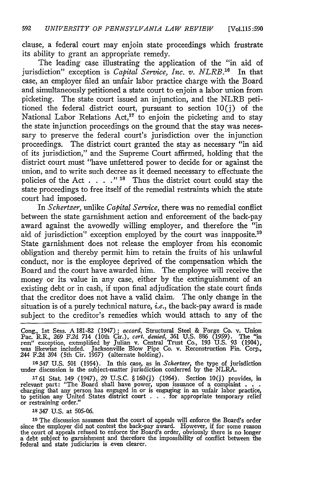clause, a federal court may enjoin state proceedings which frustrate its ability to grant an appropriate remedy.

The leading case illustrating the application of the "in aid of jurisdiction" exception is *Capital Service*, *Inc. v. NLRB*.<sup>16</sup> In that case, an employer filed an unfair labor practice charge with the Board and simultaneously petitioned a state court to enjoin a labor union from picketing. The state court issued an injunction, and the NLRB petitioned the federal district court, pursuant to section 10(j) of the National Labor Relations Act,<sup>17</sup> to enjoin the picketing and to stay the state injunction proceedings on the ground that the stay was necessary to preserve the federal court's jurisdiction over the injunction proceedings. The district court granted the stay as necessary "in aid of its jurisdiction," and the Supreme Court affirmed, holding that the district court must "have unfettered power to decide for or against the union, and to write such decree as it deemed necessary to effectuate the policies of the Act . . . . "<sup>18</sup> Thus the district court could stay the state proceedings to free itself of the remedial restraints which the state court had imposed.

In *Schertzer,* unlike *Capital Service,* there was no remedial conflict between the state garnishment action and enforcement of the back-pay award against the avowedly willing employer, and therefore the "in aid of jurisdiction" exception employed by the court was inapposite.<sup>19</sup> State garnishment does not release the employer from his economic obligation and thereby permit him to retain the fruits of his unlawful conduct, nor is the employee deprived of the compensation which the Board and the court have awarded him. The employee will receive the money or its value in any case, either by the extinguishment of an existing debt or in cash, if upon final adjudication the state court finds that the creditor does not have a valid claim. The only change in the situation is of a purely technical nature, *i.e.,* the back-pay award is made subject to the creditor's remedies which would attach to any of the

Cong., 1st Sess. A 181-82 (1947); *accord,* Structural Steel & Forge Co. v. Union Pac. R.R., *269* F.2d 714 (10th Cir.), *cert. denied,* 361 U.S. 886 (1959). The "in rem" exception, exemplified by Julian v. Central Trust Co., 193 U.S. 93 (1904), was likewise included. Jacksonville Blow Pipe Co. v. Reconstruction Fin. Corp., 244 F.2d 394 (5th Cir. **1957)** (alternate holding).

16347 **U.S.** 501 (1954). In this case, as in *Schertzer,* the type of jurisdiction under discussion is the subject-matter jurisdiction conferred by the NLRA.

**1761** Stat. 149 (1947), 29 U.S.C. § 160(j) (1964). Section 10(j) provides, in relevant part: "The Board shall have power, upon issuance of a complaint **. . .** charging that any person has engaged in or is engaging in an unfair labor practice, to petition any United States district court . . . for appropriate temporary relief or restraining order." **<sup>18</sup>347 U.S.** at 505-06.

**<sup>19</sup>**The discussion assumes that the court of appeals will enforce the Board's order since the employer did not contest the back-pay award. However, if for some reason<br>the court of appeals refused to enforce the Board's order, obviously there is no longer<br>a debt subject to garnishment and therefore the imp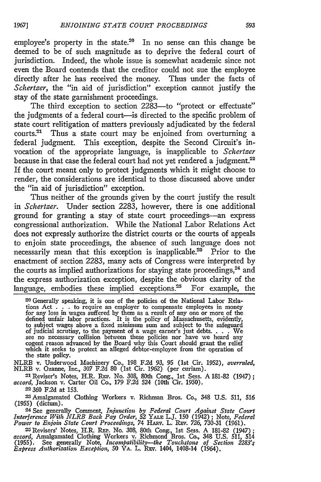employee's property in the state.<sup>20</sup> In no sense can this change be deemed to be of such magnitude as to deprive the federal court of jurisdiction. Indeed, the whole issue is somewhat academic since not even the Board contends that the creditor could not sue the employee directly after he has received the money. Thus under the facts of *Schertzer*, the "in aid of jurisdiction" exception cannot justify the stay of the state garnishment proceedings.

The third exception to section 2283-to "protect or effectuate" the judgments of a federal court-is directed to the specific problem of state court relitigation of matters previously adjudicated **by** the federal courts.<sup>21</sup> Thus a state court may be enjoined from overturning a federal judgment. This exception, despite the Second Circuit's invocation of the appropriate language, is inapplicable to *Schertzer* because in that case the federal court had not yet rendered a judgment.<sup>22</sup> If the court meant only to protect judgments which it might choose to render, the considerations are identical to those discussed above under the "in aid of jurisdiction" exception.

Thus neither of the grounds given by the court justify the result in *Schertzer.* Under section 2283, however, there is one additional ground for granting a stay of state court proceedings-an express congressional authorization. While the National Labor Relations Act does not expressly authorize the district courts or the courts of appeals to enjoin state proceedings, the absence of such language does not necessarily mean that this exception is inapplicable.<sup>23</sup> Prior to the enactment of section 2283, many acts of Congress were interpreted by the courts as implied authorizations for staying state proceedings,<sup>24</sup> and the express authorization exception, despite the obvious clarity of the language, embodies these implied exceptions. $25$  For example, the

2o Generally speaking, it is one of the policies of the National Labor Relations Act . . **.** to require an employer to compensate employees in money for any loss in wages suffered by them as a result of any one or more of the defined unfair labor practices. It is the policy of Massachusetts, evidently to subject wages above a fixed minimum sum and subject to the safeguard of judicial scrutiny, to the payment of a wage earner's just debts. . **..** We see no necessary collision between these policies nor have we heard any cogent reason advanced by the Board why this Court should grant the relief which it seeks to protect an alleged debtor-employee from the operation of the state policy.

NLRB v. Underwood Machinery Co., 198 F.2d 93, 95 (1st Cir. 1952), *overruled,* NLRB v. Ozanne, Inc., 307 F.2d 80 (1st Cir. 1962) (per curiam). 21 Reviser's Notes, H.R. **REP.** No. 308, 80th Cong., 1st Sess. A 181-82 (1947);

<sup>21</sup> Reviser's Notes, H.R. REP. No. 308, 80th Cong., 1st Sess. A 181-82 (1947); *accord*, Jackson v. Carter Oil Co., 179 F.2d 524 (10th Cir. 1950).

22 **360** F.2d at 153.

<sup>23</sup> Amalgamated Clothing Workers v. Richman Bros. Co., 348 U.S. 511, 516 (1955) (dictum).

**24** See generally Comment, *Injunction by Federal Court Against State Court Interference With NLRB Back Pay Order,* **52** YALE L.J. 150 (1942); Note, *Federal Power to Enjoin State Court Proceedings,* 74 HARv. L. REV. *726,* 730-31 (1961). <sup>2</sup>

'-Revisers' Notes, H.R. **REP.** No. 308, 80th Cong., 1st Sess. A 181-82 (1947); accord, Amalgamated Clothing Workers v. Richmond Bros. Co., 348 U.S. 511, 514 (1955). See generally Note, *Incompatibility-the Touchstone of Section 2283; Express Authorization Exception,* 50 **VA.** L. **REv.** 1404, 1408-14 (1964),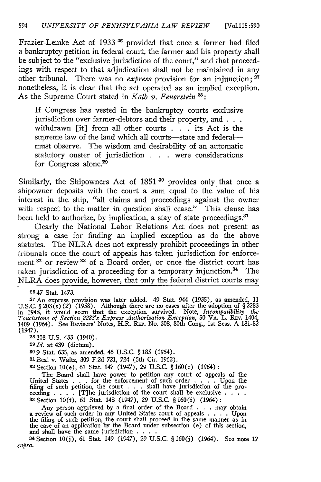Frazier-Lemke Act of 1933 **26** provided that once a farmer had filed a bankruptcy petition in federal court, the farmer and his property shall be subject to the "exclusive jurisdiction of the court," and that proceedings with respect to that adjudication shall not be maintained in any other tribunal. There was no *express* provision for an injunction; **27** nonetheless, it is clear that the act operated as an implied exception. As the Supreme Court stated in *Kalb v. Feuerstein <sup>2</sup> :*

If Congress has vested in the bankruptcy courts exclusive jurisdiction over farmer-debtors and their property, and **. . .** withdrawn [it] from all other courts . **. .** its Act is the supreme law of the land which all courts-state and federalmust observe. The wisdom and desirability of an automatic statutory ouster of jurisdiction **. .** . were considerations for Congress alone.<sup>29</sup>

Similarly, the Shipowners Act of 1851<sup>30</sup> provides only that once a shipowner deposits with the court a sum equal to the value of his interest in the ship, "all claims and proceedings against the owner with respect to the matter in question shall cease." This clause has been held to authorize, by implication, a stay of state proceedings.<sup>31</sup>

Clearly the National Labor Relations Act does not present as strong a case for finding an implied exception as do the above statutes. The NLRA does not expressly prohibit proceedings in other tribunals once the court of appeals has taken jurisdiction for enforcement <sup>32</sup> or review <sup>33</sup> of a Board order, or once the district court has taken jurisdiction of a proceeding for a temporary injunction. $34$  The NLRA does provide, however, that only the federal district courts may

**<sup>2647</sup>**Stat. 1473. <sup>2</sup> <sup>7</sup> An express provision was later added. 49 Stat. 944 (1935), as amended, 11 U.S.C. § 203(s) (2) (1958). Although there are no cases after the adoption of § 2283 in 1948, it would seem that the exception survived. Note, *Incompatibility—the Touchstone of Section 2283's Express Authorization Excepti* 1409 (1964). See Revisers' Notes, H.R. REP. No. 308, 80th Cong., 1st Sess. A 181-82 (1947).

**<sup>28308</sup>**U.S. 433 (1940). *291d.* at 439 (dictum).

**30 9** Stat. 635, as amended, 46 U.S.C. § 185 (1964).

**<sup>3</sup> <sup>1</sup>**Beal v. Waltz, 309 F.2d 721, 724 (5th Cir. 1962).

**32** Section 10(e), 61 Stat. 147 (1947), 29 U.S.C. § 160(e) (1964):

The Board shall have power to petition any court of appeals of the United States . . . for the enforcement of such order . . . . Upon the filing of such petition, the court . . . shall have jurisdiction of the proceeding . . . . [T]he jurisdiction of the court shall be exclusive . . . . **<sup>33</sup>**Section 10(f), 61 Stat. 148 (1947), 29 U.S.C. § **160(f)** (1964):

Any person aggrieved by a final order of the Board . . . may obtain a review of such order in any United States court of appeals . **. .** . Upon the filing of such petition, the court shall proceed in the same manner as in the case of an application by the Board under subsection (e) of this section, and shall have the same jurisdiction . **. ..**

**<sup>34</sup>**Section 10(j), 61 Stat 149 (1947), 29 U.S.C. § 160(j) (1964). See note 17 *supra.*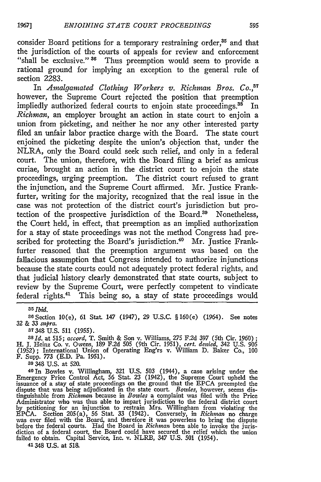consider Board petitions for a temporary restraining order,<sup>35</sup> and that the jurisdiction of the courts of appeals for review and enforcement "shall be exclusive." <sup>36</sup> Thus preemption would seem to provide a rational ground for implying an exception to the general rule of section 2283.

In *Amalgamated Clothing Workers v. Richman Bros. Co.*<sup>37</sup> however, the Supreme Court rejected the position that preemption impliedly authorized federal courts to enjoin state proceedings.<sup>35</sup> In *Richman,* an employer brought an action in state court to enjoin a union from picketing, and neither he nor any other interested party filed an unfair labor practice charge with the Board. The state court enjoined the picketing despite the union's objection that, under the NLRA, only the Board could seek such relief, and only in a federal court. The union, therefore, with the Board filing a brief as amicus curiae, brought an action in the district court to enjoin the state proceedings, urging preemption. The district court refused to grant the injunction, and the Supreme Court affirmed. Mr. Justice Frankfurter, writing for the majority, recognized that the real issue in the case was not protection of the district court's jurisdiction but protection of the prospective jurisdiction of the Board.<sup>39</sup> Nonetheless, the Court held, in effect, that preemption as an implied authorization for a stay of state proceedings was not the method Congress had prescribed for protecting the Board's jurisdiction.<sup>40</sup> Mr. Justice Frankfurter reasoned that the preemption argument was based on the fallacious assumption that Congress intended to authorize injunctions because the state courts could not adequately protect federal rights, and that judicial history clearly demonstrated that state courts, subject to review by the Supreme Court, were perfectly competent to vindicate federal rights.41 This being so, a stay of state proceedings would

*35 Ibid.*

**36** Section 10(e), 61 Stat. 147 (1947), **29** U.S.C. §160(e) (1964). See notes 32 & **33** *stpra.*

**<sup>37</sup>**348 U.S. 511 (1955). *38Id.* at 515; *accord,* T. Smith & Son v. Williams, 275 F.2d 397 (5th Cir. 1960); H. J. Heinz Co. v. Owens, 189 F.2d 505 (9th Cir. 1951), *cert. denied,* 342 U.S. 905 (1952); International Union of Operating Eng'rs v. William D. Baker Co., 100 F. Supp. **773** (E.D. Pa. 1951).

**<sup>39</sup>**348 U.S. at 520.

<sup>40</sup> 1n Bowles v. Willingham, 321 U.S. 503 (1944), a case arising under the Emergency Price Control Act, 56 Stat. 23 (1942), the Supreme Court upheld the issuance of a stay of state proceedings on the ground that the EPCA preempted the dispute that was being adjudicated in the state court. *Bowles,* however, seems dis-tinguishable from *Richmin* because in *Bowles* a complaint was filed with the Price Administrator who was thus able to impart jurisdiction to the federal district court<br>by petitioning for an injunction to restrain Mrs. Willingham from violating the<br>EPCA. Section 205(a), 56 Stat. 33 (1942). Conversely, in failed to obtain. Capital Service, Inc. v. NLRB, 347 U.S. 501 (1954). 41348 **U.S.** at 518.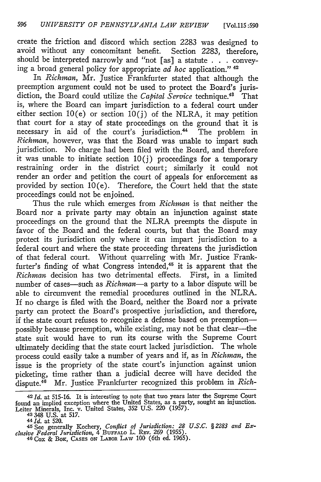create the friction and discord which section 2283 was designed to avoid without any concomitant benefit. Section 2283, therefore, should be interpreted narrowly and "not [as] a statute . **.** . conveying a broad general policy for appropriate *ad hoc* application." <sup>4</sup>

In *Richman*, Mr. Justice Frankfurter stated that although the preemption argument could not be used to protect the Board's jurisdiction, the Board could utilize the *Capital Service* technique.<sup>48</sup> That is, where the Board can impart jurisdiction to a federal court under either section  $10(e)$  or section  $10(j)$  of the NLRA, it may petition that court for a stay of state proceedings on the ground that it is necessary in aid of the court's jurisdiction.<sup>44</sup> The problem in *Richnan,* however, was that the Board was unable to impart such jurisdiction. No charge had been filed with the Board, and therefore it was unable to initiate section  $10(j)$  proceedings for a temporary restraining order in the district court; similarly it could not render an order and petition the court of appeals for enforcement as provided by section  $10(e)$ . Therefore, the Court held that the state proceedings could not be enjoined.

Thus the rule which emerges from *Richnan* is that neither the Board nor a private party may obtain an injunction against state proceedings on the ground that the NLRA preempts the dispute in favor of the Board and the federal courts, but that the Board may protect its jurisdiction only where it can impart jurisdiction to a federal court and where the state proceeding threatens the jurisdiction of that federal court. Without quarreling with Mr. Justice Frankfurter's finding of what Congress intended,<sup>45</sup> it is apparent that the *Richman* decision has two detrimental effects. First, in a limited number of cases-such as *Richman-a* party to a labor dispute will be able to circumvent the remedial procedures outlined in the NLRA. If no charge is filed with the Board, neither the Board nor a private party can protect the Board's prospective jurisdiction, and therefore, if the state court refuses to recognize a defense based on preemptionpossibly because preemption, while existing, may not be that clear-the state suit would have to run its course with the Supreme Court ultimately deciding that the state court lacked jurisdiction. The whole process could easily take a number of years and if, as in *Richman,* the issue is the propriety of the state court's injunction against union picketing, time rather than a judicial decree will have decided the dispute.<sup>46</sup> Mr. Justice Frankfurter recognized this problem in *Rich*-

**-3** 348 U.S. at 517.

*<sup>42</sup> Id.* at 515-16. It is interesting to note that two years later the Supreme Court found an implied exception where the United States, as a party, sought an injunction. Leiter Minerals, Inc. v. United States, 352 U.S. 220 (1957).

*<sup>44</sup> Id.* at 520.

*<sup>45</sup>* See generally Kochery, *Conflict of Jurisdiction: 28 U.S.C. § 2283 and Exchsive Federal Jurisdiction,* 4 BuFrALo L. REv. 269 (1955). *46* Cox & BOK, **CASES ON** LABOR LAW 100 (6th ed. 1965).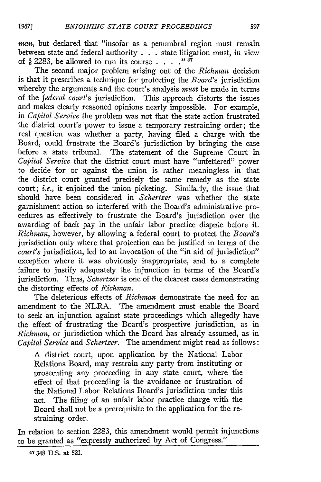*man,* but declared that "insofar as a penumbral region must remain between state and federal authority . . . state litigation must, in view of § 2283, be allowed to run its course  $\ldots$  .  $\cdot$  <sup>47</sup>

The second major problem arising out of the *Richman* decision is that it prescribes a technique for protecting the *Board's* jurisdiction whereby the arguments and the court's analysis *must* be made in terms of the *federal court's* jurisdiction. This approach distorts the issues and makes clearly reasoned opinions nearly impossible. For example, in *Capital Service* the problem was not that the state action frustrated the district court's power to issue a temporary restraining order; the real question was whether a party, having filed a charge with the Board, could frustrate the Board's jurisdiction by bringing the case before a state tribunal. The statement of the Supreme Court in *Capital Service* that the district court must have "unfettered" power to decide for or against the union is rather meaningless in that the district court granted precisely the same remedy as the state court; *i.e.,* it enjoined the union picketing. Similarly, the issue that should have been considered in *Schertzer* was whether the state garnishment action so interfered with the Board's administrative procedures as effectively to frustrate the Board's jurisdiction over the awarding of back pay in the unfair labor practice dispute before it. *Richman,* however, by allowing a federal court to protect the *Board's* jurisdiction only where that protection can be justified in terms of the *court's* jurisdiction, led to an invocation of the "in aid of jurisdiction" exception where it was obviously inappropriate, and to a complete failure to justify adequately the injunction in terms of the Board's jurisdiction. Thus, *Schertzer* is one of the clearest cases demonstrating the distorting effects of *Richman.*

The deleterious effects of *Richman* demonstrate the need for an amendment to the NLRA. The amendment must enable the Board to seek an injunction against state proceedings which allegedly have the effect of frustrating the Board's prospective jurisdiction, as in *Richman,* or jurisdiction which the Board has already assumed, as in *Capital Service* and *Schertzer.* The amendment might read as follows:

A district court, upon application **by** the National Labor Relations Board, may restrain any party from instituting or prosecuting any proceeding in any state court, where the effect of that proceeding is the avoidance or frustration of the National Labor Relations Board's jurisdiction under this act. The filing of an unfair labor practice charge with the Board shall not be a prerequisite to the application for the restraining order.

In relation to section 2283, this amendment would permit injunctions to be granted as "expressly authorized **by** Act of Congress."

<sup>47</sup>348 **U.S.** at 521.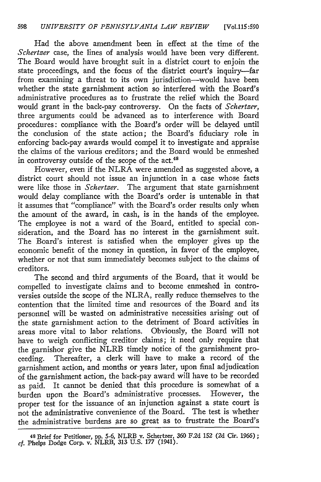Had the above amendment been in effect at the time of the *Schertzer* case, the lines of analysis would have been very different. The Board would have brought suit in a district court to enjoin the state proceedings, and the focus of the district court's inquiry-far from examining a threat to its own jurisdiction-would have been whether the state garnishment action so interfered with the Board's administrative procedures as to frustrate the relief which the Board would grant in the back-pay controversy. On the facts of *Schertzer,* three arguments could be advanced as to interference with Board procedures: compliance with the Board's order will be delayed until the conclusion of the state action; the Board's fiduciary role in enforcing back-pay awards would compel it to investigate and appraise the claims of the various creditors; and the Board would be enmeshed in controversy outside of the scope of the act. $44$ 

However, even if the NLRA were amended as suggested above, a district court should not issue an injunction in a case whose facts were like those in *Schertzer.* The argument that state garnishment would delay compliance with the Board's order is untenable in that it assumes that "compliance" with the Board's order results only when the amount of the award, in cash, is in the hands of the employee. The employee is not a ward of the Board, entitled to special consideration, and the Board has no interest in the garnishment suit. The Board's interest is satisfied when the employer gives up the economic benefit of the money in question, in favor of the employee, whether or not that sum immediately becomes subject to the claims of creditors.

The second and third arguments of the Board, that it would be compelled to investigate claims and to become enmeshed in controversies outside the scope of the NLRA, really reduce themselves to the contention that the limited time and resources of the Board and its personnel will be wasted on administrative necessities arising out of the state garnishment action to the detriment of Board activities in areas more vital to labor relations. Obviously, the Board will not have to weigh conflicting creditor claims; it need only require that the garnishor give the NLRB timely notice of the garnishment proceeding. Thereafter, a clerk will have to make a record of the garnishment action, and months or years later, upon final adjudication of the garnishment action, the back-pay award will have to be recorded as paid. It cannot be denied that this procedure is somewhat of a burden upon the Board's administrative processes. However, the proper test for the issuance of an injunction against a state court is not the administrative convenience of the Board. The test is whether the administrative burdens are so great as to frustrate the Board's

**<sup>4</sup> <sup>8</sup>**Brief for Petitioner, **pp. 5-6,** NLRB **v.** Schertzer, **360 F.2d 152 (2d** Cir. *1966);* **cf.** Phelps Dodge Corp. v. NLRB, **313** U.S. **177** (1941).